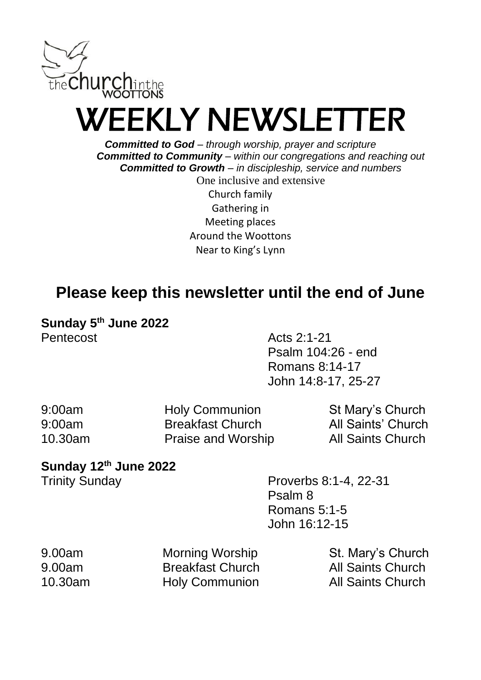

# WEEKLY NEWSLETTER

*Committed to God – through worship, prayer and scripture Committed to Community – within our congregations and reaching out Committed to Growth – in discipleship, service and numbers*

> One inclusive and extensive Church family Gathering in Meeting places Around the Woottons Near to King's Lynn

### **Please keep this newsletter until the end of June**

**Sunday 5th June 2022** Pentecost Acts 2:1-21

Psalm 104:26 - end Romans 8:14-17 John 14:8-17, 25-27

| 9:00am  | <b>Holy Communion</b>   | St Mary's Church         |
|---------|-------------------------|--------------------------|
| 9:00am  | <b>Breakfast Church</b> | All Saints' Church       |
| 10.30am | Praise and Worship      | <b>All Saints Church</b> |

#### **Sunday 12th June 2022**

Trinity Sunday **Proverbs 8:1-4, 22-31** Psalm 8 Romans 5:1-5 John 16:12-15

| 9.00am  | Morning Worship         | St. Mary's Church        |
|---------|-------------------------|--------------------------|
| 9.00am  | <b>Breakfast Church</b> | <b>All Saints Church</b> |
| 10.30am | <b>Holy Communion</b>   | <b>All Saints Church</b> |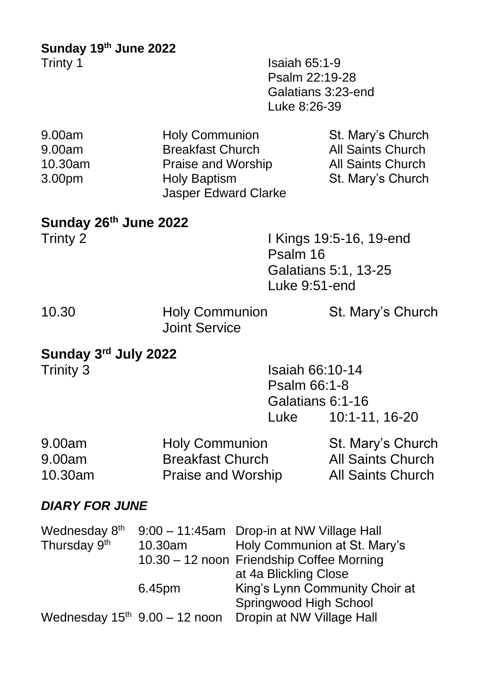**Sunday 19th June 2022**

**Isaiah 65:1-9** Psalm 22:19-28 Galatians 3:23-end Luke 8:26-39

| 9.00am  | <b>Holy Communion</b>                              | St. Mary's Church        |
|---------|----------------------------------------------------|--------------------------|
| 9.00am  | <b>Breakfast Church</b>                            | <b>All Saints Church</b> |
| 10.30am | Praise and Worship                                 | <b>All Saints Church</b> |
| 3.00pm  | <b>Holy Baptism</b><br><b>Jasper Edward Clarke</b> | St. Mary's Church        |

## **Sunday 26th June 2022**

| Trinty 2 | I Kings 19:5-16, 19-end |
|----------|-------------------------|
|          | Psalm 16                |
|          | Galatians 5:1, 13-25    |
|          | Luke 9:51-end           |
|          |                         |

| 10.30 | <b>Holy Communion</b> | St. Mary's Church |
|-------|-----------------------|-------------------|
|       | <b>Joint Service</b>  |                   |

### **Sunday 3 rd July 2022**

| Trinity 3 | <b>Isaiah 66:10-14</b> |
|-----------|------------------------|
|           | Psalm 66:1-8           |
|           | Galatians 6:1-16       |
|           | 10:1-11, 16-20<br>Luke |
|           |                        |

| 9.00am  | <b>Holy Communion</b>   | St. Mary's Church        |
|---------|-------------------------|--------------------------|
| 9.00am  | <b>Breakfast Church</b> | <b>All Saints Church</b> |
| 10.30am | Praise and Worship      | <b>All Saints Church</b> |

### *DIARY FOR JUNE*

| Wednesday 8 <sup>th</sup><br>Thursday 9th | 10.30am                         | 9:00 - 11:45am Drop-in at NW Village Hall<br>Holy Communion at St. Mary's |
|-------------------------------------------|---------------------------------|---------------------------------------------------------------------------|
|                                           |                                 | 10.30 - 12 noon Friendship Coffee Morning                                 |
|                                           |                                 | at 4a Blickling Close                                                     |
|                                           | 6.45pm                          | King's Lynn Community Choir at                                            |
|                                           |                                 | Springwood High School                                                    |
|                                           | Wednesday $15th$ 9.00 - 12 noon | Dropin at NW Village Hall                                                 |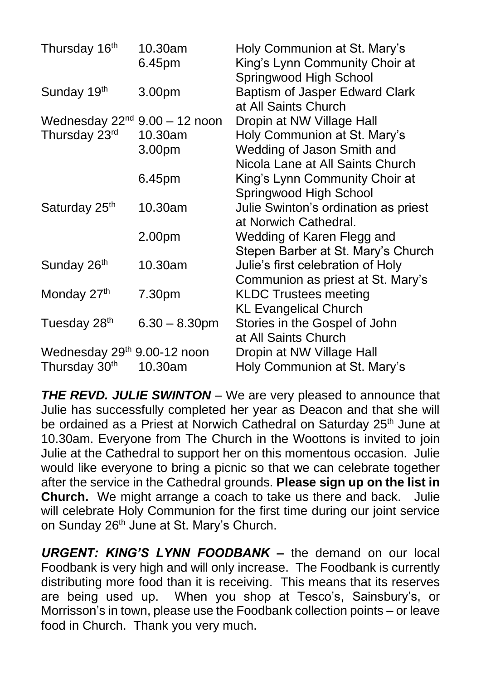| Thursday 16th                      | 10.30am          | Holy Communion at St. Mary's         |
|------------------------------------|------------------|--------------------------------------|
|                                    | 6.45pm           | King's Lynn Community Choir at       |
|                                    |                  | Springwood High School               |
| Sunday 19th                        | 3.00pm           | Baptism of Jasper Edward Clark       |
|                                    |                  | at All Saints Church                 |
| Wednesday $22^{nd}$ 9.00 - 12 noon |                  | Dropin at NW Village Hall            |
| Thursday 23rd                      | 10.30am          | Holy Communion at St. Mary's         |
|                                    | 3.00pm           | Wedding of Jason Smith and           |
|                                    |                  | Nicola Lane at All Saints Church     |
|                                    | 6.45pm           | King's Lynn Community Choir at       |
|                                    |                  | Springwood High School               |
| Saturday 25th                      | 10.30am          | Julie Swinton's ordination as priest |
|                                    |                  | at Norwich Cathedral.                |
|                                    | 2.00pm           | Wedding of Karen Flegg and           |
|                                    |                  | Stepen Barber at St. Mary's Church   |
| Sunday 26 <sup>th</sup>            | 10.30am          | Julie's first celebration of Holy    |
|                                    |                  | Communion as priest at St. Mary's    |
| Monday 27th                        | 7.30pm           | <b>KLDC Trustees meeting</b>         |
|                                    |                  | <b>KL Evangelical Church</b>         |
| Tuesday 28 <sup>th</sup>           | $6.30 - 8.30$ pm | Stories in the Gospel of John        |
|                                    |                  | at All Saints Church                 |
| Wednesday 29th 9.00-12 noon        |                  | Dropin at NW Village Hall            |
| Thursday 30 <sup>th</sup>          | 10.30am          | Holy Communion at St. Mary's         |

**THE REVD. JULIE SWINTON** – We are very pleased to announce that Julie has successfully completed her year as Deacon and that she will be ordained as a Priest at Norwich Cathedral on Saturday 25<sup>th</sup> June at 10.30am. Everyone from The Church in the Woottons is invited to join Julie at the Cathedral to support her on this momentous occasion. Julie would like everyone to bring a picnic so that we can celebrate together after the service in the Cathedral grounds. **Please sign up on the list in Church.** We might arrange a coach to take us there and back. Julie will celebrate Holy Communion for the first time during our joint service on Sunday 26<sup>th</sup> June at St. Mary's Church.

*URGENT: KING'S LYNN FOODBANK –* the demand on our local Foodbank is very high and will only increase. The Foodbank is currently distributing more food than it is receiving. This means that its reserves are being used up. When you shop at Tesco's, Sainsbury's, or Morrisson's in town, please use the Foodbank collection points – or leave food in Church. Thank you very much.